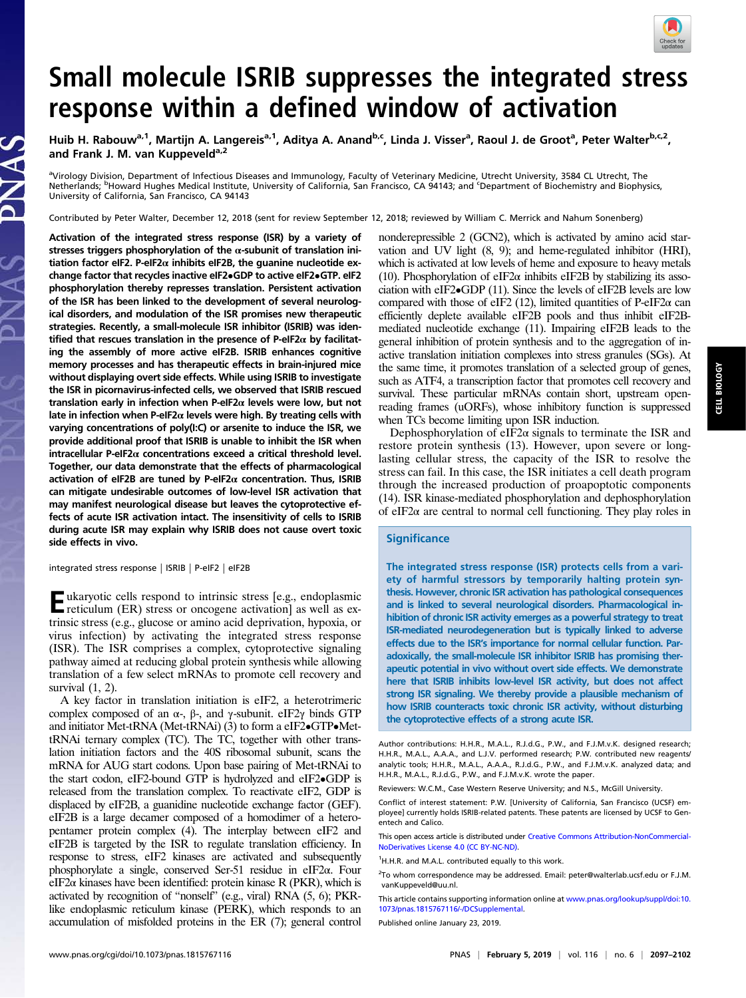

# Small molecule ISRIB suppresses the integrated stress response within a defined window of activation

Huib H. Rabouw<sup>a,1</sup>, Martijn A. Langereis<sup>a,1</sup>, Aditya A. Anand<sup>b,c</sup>, Linda J. Visser<sup>a</sup>, Raoul J. de Groot<sup>a</sup>, Peter Walter<sup>b,c,2</sup>, and Frank J. M. van Kuppeveld<sup>a,2</sup>

a<br>Virology Division, Department of Infectious Diseases and Immunology, Faculty of Veterinary Medicine, Utrecht University, 3584 CL Utrecht, The Netherlands; <sup>b</sup>Howard Hughes Medical Institute, University of California, San Francisco, CA 94143; and <sup>c</sup>Department of Biochemistry and Biophysics, University of California, San Francisco, CA 94143

Contributed by Peter Walter, December 12, 2018 (sent for review September 12, 2018; reviewed by William C. Merrick and Nahum Sonenberg)

Activation of the integrated stress response (ISR) by a variety of stresses triggers phosphorylation of the  $\alpha$ -subunit of translation initiation factor eIF2. P-eIF2 $\alpha$  inhibits eIF2B, the guanine nucleotide exchange factor that recycles inactive eIF2•GDP to active eIF2•GTP. eIF2 phosphorylation thereby represses translation. Persistent activation of the ISR has been linked to the development of several neurological disorders, and modulation of the ISR promises new therapeutic strategies. Recently, a small-molecule ISR inhibitor (ISRIB) was identified that rescues translation in the presence of P-eIF2 $\alpha$  by facilitating the assembly of more active eIF2B. ISRIB enhances cognitive memory processes and has therapeutic effects in brain-injured mice without displaying overt side effects. While using ISRIB to investigate the ISR in picornavirus-infected cells, we observed that ISRIB rescued translation early in infection when P-eIF2 $\alpha$  levels were low, but not late in infection when P-eIF2 $\alpha$  levels were high. By treating cells with varying concentrations of poly(I:C) or arsenite to induce the ISR, we provide additional proof that ISRIB is unable to inhibit the ISR when intracellular P-eIF2α concentrations exceed a critical threshold level. Together, our data demonstrate that the effects of pharmacological activation of eIF2B are tuned by P-eIF2α concentration. Thus, ISRIB can mitigate undesirable outcomes of low-level ISR activation that may manifest neurological disease but leaves the cytoprotective effects of acute ISR activation intact. The insensitivity of cells to ISRIB during acute ISR may explain why ISRIB does not cause overt toxic side effects in vivo.

integrated stress response | ISRIB | P-eIF2 | eIF2B

Eukaryotic cells respond to intrinsic stress [e.g., endoplasmic reticulum (ER) stress or oncogene activation] as well as extrinsic stress (e.g., glucose or amino acid deprivation, hypoxia, or virus infection) by activating the integrated stress response (ISR). The ISR comprises a complex, cytoprotective signaling pathway aimed at reducing global protein synthesis while allowing translation of a few select mRNAs to promote cell recovery and survival (1, 2).

A key factor in translation initiation is eIF2, a heterotrimeric complex composed of an α-, β-, and γ-subunit. eIF2γ binds GTP and initiator Met-tRNA (Met-tRNAi) (3) to form a eIF2•GTP•MettRNAi ternary complex (TC). The TC, together with other translation initiation factors and the 40S ribosomal subunit, scans the mRNA for AUG start codons. Upon base pairing of Met-tRNAi to the start codon, eIF2-bound GTP is hydrolyzed and eIF2•GDP is released from the translation complex. To reactivate eIF2, GDP is displaced by eIF2B, a guanidine nucleotide exchange factor (GEF). eIF2B is a large decamer composed of a homodimer of a heteropentamer protein complex (4). The interplay between eIF2 and eIF2B is targeted by the ISR to regulate translation efficiency. In response to stress, eIF2 kinases are activated and subsequently phosphorylate a single, conserved Ser-51 residue in eIF2α. Four eIF2 $\alpha$  kinases have been identified: protein kinase R (PKR), which is activated by recognition of "nonself" (e.g., viral) RNA (5, 6); PKRlike endoplasmic reticulum kinase (PERK), which responds to an accumulation of misfolded proteins in the ER (7); general control nonderepressible 2 (GCN2), which is activated by amino acid starvation and UV light (8, 9); and heme-regulated inhibitor (HRI), which is activated at low levels of heme and exposure to heavy metals (10). Phosphorylation of eIF2 $\alpha$  inhibits eIF2B by stabilizing its association with eIF2•GDP (11). Since the levels of eIF2B levels are low compared with those of eIF2 (12), limited quantities of P-eIF2 $\alpha$  can efficiently deplete available eIF2B pools and thus inhibit eIF2Bmediated nucleotide exchange (11). Impairing eIF2B leads to the general inhibition of protein synthesis and to the aggregation of inactive translation initiation complexes into stress granules (SGs). At the same time, it promotes translation of a selected group of genes, such as ATF4, a transcription factor that promotes cell recovery and survival. These particular mRNAs contain short, upstream openreading frames (uORFs), whose inhibitory function is suppressed when TCs become limiting upon ISR induction.

Dephosphorylation of eIF2 $\alpha$  signals to terminate the ISR and restore protein synthesis (13). However, upon severe or longlasting cellular stress, the capacity of the ISR to resolve the stress can fail. In this case, the ISR initiates a cell death program through the increased production of proapoptotic components (14). ISR kinase-mediated phosphorylation and dephosphorylation of eIF2 $\alpha$  are central to normal cell functioning. They play roles in

## **Significance**

The integrated stress response (ISR) protects cells from a variety of harmful stressors by temporarily halting protein synthesis. However, chronic ISR activation has pathological consequences and is linked to several neurological disorders. Pharmacological inhibition of chronic ISR activity emerges as a powerful strategy to treat ISR-mediated neurodegeneration but is typically linked to adverse effects due to the ISR's importance for normal cellular function. Paradoxically, the small-molecule ISR inhibitor ISRIB has promising therapeutic potential in vivo without overt side effects. We demonstrate here that ISRIB inhibits low-level ISR activity, but does not affect strong ISR signaling. We thereby provide a plausible mechanism of how ISRIB counteracts toxic chronic ISR activity, without disturbing the cytoprotective effects of a strong acute ISR.

Author contributions: H.H.R., M.A.L., R.J.d.G., P.W., and F.J.M.v.K. designed research; H.H.R., M.A.L., A.A.A., and L.J.V. performed research; P.W. contributed new reagents/ analytic tools; H.H.R., M.A.L., A.A.A., R.J.d.G., P.W., and F.J.M.v.K. analyzed data; and H.H.R., M.A.L., R.J.d.G., P.W., and F.J.M.v.K. wrote the paper.

Reviewers: W.C.M., Case Western Reserve University; and N.S., McGill University.

Conflict of interest statement: P.W. [University of California, San Francisco (UCSF) employee] currently holds ISRIB-related patents. These patents are licensed by UCSF to Genentech and Calico.

This open access article is distributed under [Creative Commons Attribution-NonCommercial-](https://creativecommons.org/licenses/by-nc-nd/4.0/)[NoDerivatives License 4.0 \(CC BY-NC-ND\).](https://creativecommons.org/licenses/by-nc-nd/4.0/)

<sup>1</sup>H.H.R. and M.A.L. contributed equally to this work.

<sup>2</sup>To whom correspondence may be addressed. Email: [peter@walterlab.ucsf.edu](mailto:peter@walterlab.ucsf.edu) or [F.J.M.](mailto:F.J.M.vanKuppeveld@uu.nl) [vanKuppeveld@uu.nl.](mailto:F.J.M.vanKuppeveld@uu.nl)

This article contains supporting information online at [www.pnas.org/lookup/suppl/doi:10.](https://www.pnas.org/lookup/suppl/doi:10.1073/pnas.1815767116/-/DCSupplemental) [1073/pnas.1815767116/-/DCSupplemental](https://www.pnas.org/lookup/suppl/doi:10.1073/pnas.1815767116/-/DCSupplemental).

Published online January 23, 2019.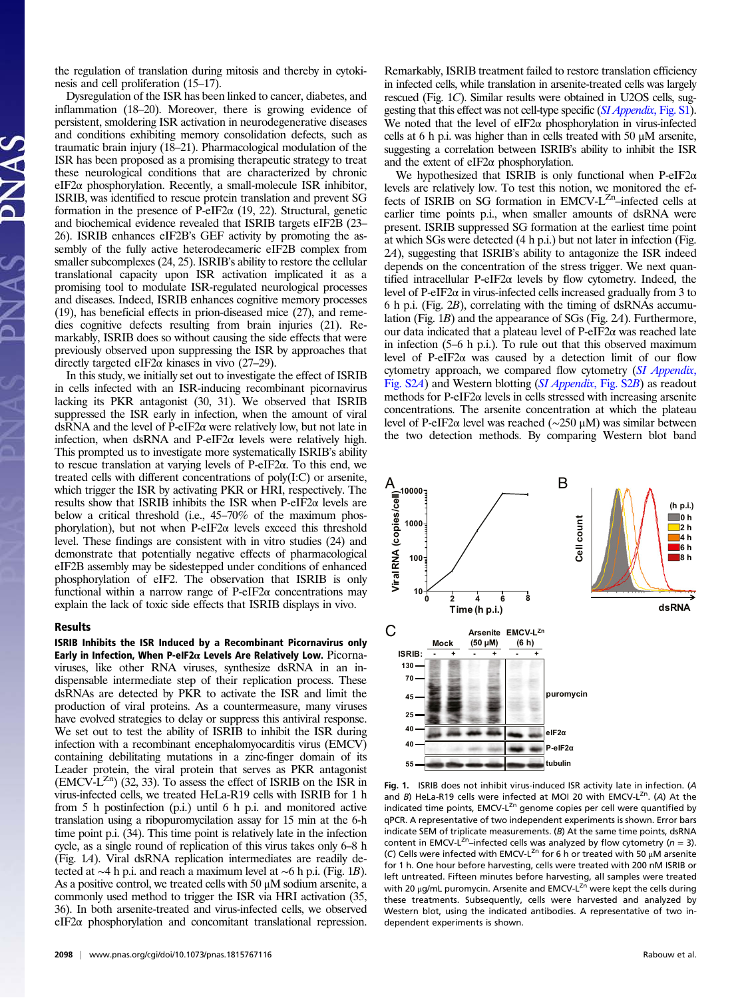the regulation of translation during mitosis and thereby in cytokinesis and cell proliferation (15–17).

Dysregulation of the ISR has been linked to cancer, diabetes, and inflammation (18–20). Moreover, there is growing evidence of persistent, smoldering ISR activation in neurodegenerative diseases and conditions exhibiting memory consolidation defects, such as traumatic brain injury (18–21). Pharmacological modulation of the ISR has been proposed as a promising therapeutic strategy to treat these neurological conditions that are characterized by chronic eIF2α phosphorylation. Recently, a small-molecule ISR inhibitor, ISRIB, was identified to rescue protein translation and prevent SG formation in the presence of P-eIF2 $\alpha$  (19, 22). Structural, genetic and biochemical evidence revealed that ISRIB targets eIF2B (23– 26). ISRIB enhances eIF2B's GEF activity by promoting the assembly of the fully active heterodecameric eIF2B complex from smaller subcomplexes (24, 25). ISRIB's ability to restore the cellular translational capacity upon ISR activation implicated it as a promising tool to modulate ISR-regulated neurological processes and diseases. Indeed, ISRIB enhances cognitive memory processes (19), has beneficial effects in prion-diseased mice (27), and remedies cognitive defects resulting from brain injuries (21). Remarkably, ISRIB does so without causing the side effects that were previously observed upon suppressing the ISR by approaches that directly targeted eIF2 $\alpha$  kinases in vivo (27–29).

In this study, we initially set out to investigate the effect of ISRIB in cells infected with an ISR-inducing recombinant picornavirus lacking its PKR antagonist (30, 31). We observed that ISRIB suppressed the ISR early in infection, when the amount of viral dsRNA and the level of P-eIF2α were relatively low, but not late in infection, when dsRNA and P-eIF2 $\alpha$  levels were relatively high. This prompted us to investigate more systematically ISRIB's ability to rescue translation at varying levels of P-eIF2α. To this end, we treated cells with different concentrations of poly(I:C) or arsenite, which trigger the ISR by activating PKR or HRI, respectively. The results show that ISRIB inhibits the ISR when  $P$ -eIF2 $\alpha$  levels are below a critical threshold (i.e., 45–70% of the maximum phosphorylation), but not when P-eIF2α levels exceed this threshold level. These findings are consistent with in vitro studies (24) and demonstrate that potentially negative effects of pharmacological eIF2B assembly may be sidestepped under conditions of enhanced phosphorylation of eIF2. The observation that ISRIB is only functional within a narrow range of P-eIF2 $\alpha$  concentrations may explain the lack of toxic side effects that ISRIB displays in vivo.

#### Results

ISRIB Inhibits the ISR Induced by a Recombinant Picornavirus only Early in Infection, When P-eIF2 $\alpha$  Levels Are Relatively Low. Picornaviruses, like other RNA viruses, synthesize dsRNA in an indispensable intermediate step of their replication process. These dsRNAs are detected by PKR to activate the ISR and limit the production of viral proteins. As a countermeasure, many viruses have evolved strategies to delay or suppress this antiviral response. We set out to test the ability of ISRIB to inhibit the ISR during infection with a recombinant encephalomyocarditis virus (EMCV) containing debilitating mutations in a zinc-finger domain of its Leader protein, the viral protein that serves as PKR antagonist  $(EMCV<sup>Zn</sup>)$  (32, 33). To assess the effect of ISRIB on the ISR in virus-infected cells, we treated HeLa-R19 cells with ISRIB for 1 h from 5 h postinfection (p.i.) until 6 h p.i. and monitored active translation using a ribopuromycilation assay for 15 min at the 6-h time point p.i. (34). This time point is relatively late in the infection cycle, as a single round of replication of this virus takes only 6–8 h (Fig. 1A). Viral dsRNA replication intermediates are readily detected at ∼4 h p.i. and reach a maximum level at ∼6 h p.i. (Fig. 1B). As a positive control, we treated cells with 50  $\mu$ M sodium arsenite, a commonly used method to trigger the ISR via HRI activation (35, 36). In both arsenite-treated and virus-infected cells, we observed eIF2α phosphorylation and concomitant translational repression.

Remarkably, ISRIB treatment failed to restore translation efficiency in infected cells, while translation in arsenite-treated cells was largely rescued (Fig. 1C). Similar results were obtained in U2OS cells, sug-gesting that this effect was not cell-type specific ([SI Appendix](https://www.pnas.org/lookup/suppl/doi:10.1073/pnas.1815767116/-/DCSupplemental), Fig. S1). We noted that the level of eIF2 $\alpha$  phosphorylation in virus-infected cells at 6 h p.i. was higher than in cells treated with 50  $\mu$ M arsenite, suggesting a correlation between ISRIB's ability to inhibit the ISR and the extent of eIF2 $\alpha$  phosphorylation.

We hypothesized that ISRIB is only functional when P-eIF2 $\alpha$ levels are relatively low. To test this notion, we monitored the effects of ISRIB on SG formation in EMCV-L<sup>Zn</sup>–infected cells at earlier time points p.i., when smaller amounts of dsRNA were present. ISRIB suppressed SG formation at the earliest time point at which SGs were detected (4 h p.i.) but not later in infection (Fig. 2A), suggesting that ISRIB's ability to antagonize the ISR indeed depends on the concentration of the stress trigger. We next quantified intracellular P-eIF2 $\alpha$  levels by flow cytometry. Indeed, the level of P-eIF2α in virus-infected cells increased gradually from 3 to 6 h p.i. (Fig. 2B), correlating with the timing of dsRNAs accumulation (Fig. 1B) and the appearance of SGs (Fig. 2A). Furthermore, our data indicated that a plateau level of  $P$ -eIF2 $\alpha$  was reached late in infection (5–6 h p.i.). To rule out that this observed maximum level of P-eIF2 $\alpha$  was caused by a detection limit of our flow cytometry approach, we compared flow cytometry ([SI Appendix](https://www.pnas.org/lookup/suppl/doi:10.1073/pnas.1815767116/-/DCSupplemental), [Fig. S2](https://www.pnas.org/lookup/suppl/doi:10.1073/pnas.1815767116/-/DCSupplemental)A) and Western blotting ([SI Appendix](https://www.pnas.org/lookup/suppl/doi:10.1073/pnas.1815767116/-/DCSupplemental), Fig. S2B) as readout methods for P-eIF2 $\alpha$  levels in cells stressed with increasing arsenite concentrations. The arsenite concentration at which the plateau level of P-eIF2α level was reached (∼250 μM) was similar between the two detection methods. By comparing Western blot band



Fig. 1. ISRIB does not inhibit virus-induced ISR activity late in infection. (A and  $B$ ) HeLa-R19 cells were infected at MOI 20 with EMCV-L<sup>Zn</sup>. (A) At the indicated time points,  $EMCV-L^{Zn}$  genome copies per cell were quantified by qPCR. A representative of two independent experiments is shown. Error bars indicate SEM of triplicate measurements. (B) At the same time points, dsRNA content in EMCV-L<sup>Zn</sup>–infected cells was analyzed by flow cytometry ( $n = 3$ ). (C) Cells were infected with EMCV-L<sup>Zn</sup> for 6 h or treated with 50  $\mu$ M arsenite for 1 h. One hour before harvesting, cells were treated with 200 nM ISRIB or left untreated. Fifteen minutes before harvesting, all samples were treated with 20  $\mu$ g/mL puromycin. Arsenite and EMCV-L<sup>2n</sup> were kept the cells during these treatments. Subsequently, cells were harvested and analyzed by Western blot, using the indicated antibodies. A representative of two independent experiments is shown.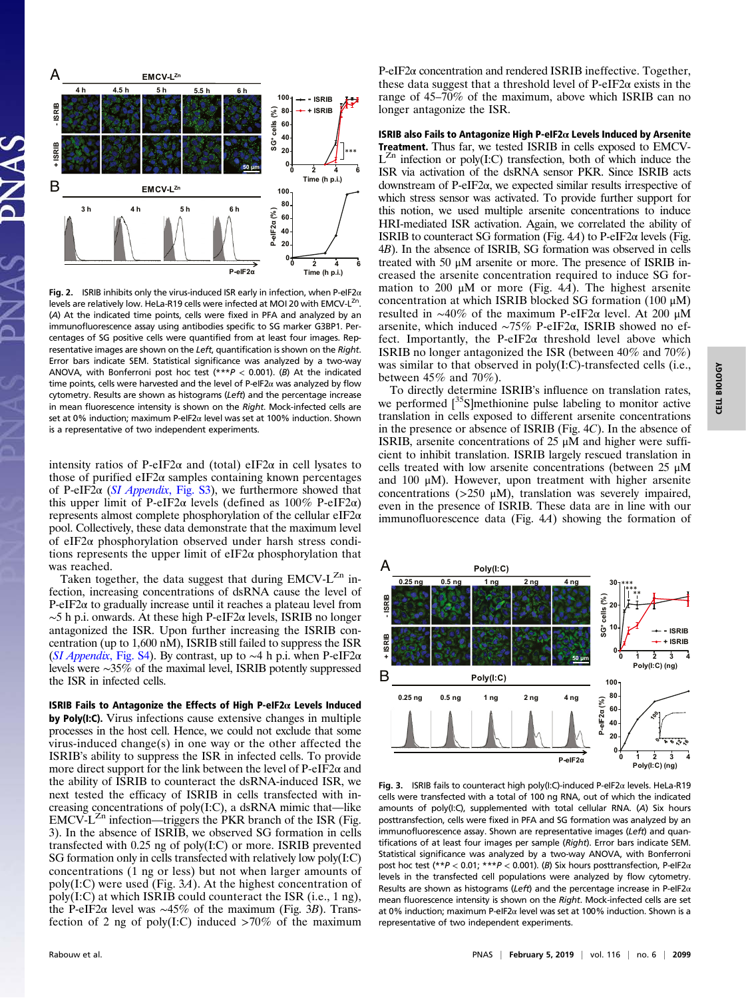

Fig. 2. ISRIB inhibits only the virus-induced ISR early in infection, when P-eIF2 $\alpha$ levels are relatively low. HeLa-R19 cells were infected at MOI 20 with EMCV-L<sup>Zn</sup>. (A) At the indicated time points, cells were fixed in PFA and analyzed by an immunofluorescence assay using antibodies specific to SG marker G3BP1. Percentages of SG positive cells were quantified from at least four images. Representative images are shown on the Left, quantification is shown on the Right. Error bars indicate SEM. Statistical significance was analyzed by a two-way ANOVA, with Bonferroni post hoc test  $(***P < 0.001)$ . (B) At the indicated time points, cells were harvested and the level of P-eIF2α was analyzed by flow cytometry. Results are shown as histograms (Left) and the percentage increase in mean fluorescence intensity is shown on the Right. Mock-infected cells are set at 0% induction; maximum P-eIF2α level was set at 100% induction. Shown is a representative of two independent experiments.

intensity ratios of P-eIF2 $\alpha$  and (total) eIF2 $\alpha$  in cell lysates to those of purified eIF2α samples containing known percentages of P-eIF2 $\alpha$  ([SI Appendix](https://www.pnas.org/lookup/suppl/doi:10.1073/pnas.1815767116/-/DCSupplemental), Fig. S3), we furthermore showed that this upper limit of P-eIF2 $\alpha$  levels (defined as 100% P-eIF2 $\alpha$ ) represents almost complete phosphorylation of the cellular eIF2 $\alpha$ pool. Collectively, these data demonstrate that the maximum level of eIF2α phosphorylation observed under harsh stress conditions represents the upper limit of eIF2 $\alpha$  phosphorylation that was reached.

Taken together, the data suggest that during  $EMCV-L^{Zn}$  infection, increasing concentrations of dsRNA cause the level of P-eIF2 $\alpha$  to gradually increase until it reaches a plateau level from ∼5 h p.i. onwards. At these high P-eIF2α levels, ISRIB no longer antagonized the ISR. Upon further increasing the ISRIB concentration (up to 1,600 nM), ISRIB still failed to suppress the ISR ([SI Appendix](https://www.pnas.org/lookup/suppl/doi:10.1073/pnas.1815767116/-/DCSupplemental), Fig. S4). By contrast, up to ∼4 h p.i. when P-eIF2α levels were ∼35% of the maximal level, ISRIB potently suppressed the ISR in infected cells.

ISRIB Fails to Antagonize the Effects of High P-eIF2 $\alpha$  Levels Induced by Poly(I:C). Virus infections cause extensive changes in multiple processes in the host cell. Hence, we could not exclude that some virus-induced change(s) in one way or the other affected the ISRIB's ability to suppress the ISR in infected cells. To provide more direct support for the link between the level of  $P$ -eIF2 $\alpha$  and the ability of ISRIB to counteract the dsRNA-induced ISR, we next tested the efficacy of ISRIB in cells transfected with increasing concentrations of poly(I:C), a dsRNA mimic that—like  $EMCV-L^{Zn}$  infection—triggers the PKR branch of the ISR (Fig. 3). In the absence of ISRIB, we observed SG formation in cells transfected with 0.25 ng of poly(I:C) or more. ISRIB prevented SG formation only in cells transfected with relatively low poly(I:C) concentrations (1 ng or less) but not when larger amounts of  $poly(I:C)$  were used (Fig. 3A). At the highest concentration of  $poly(I:C)$  at which ISRIB could counteract the ISR (i.e., 1 ng), the P-eIF2α level was ~45% of the maximum (Fig. 3B). Transfection of 2 ng of poly(I:C) induced  $>70\%$  of the maximum P-eIF2 $\alpha$  concentration and rendered ISRIB ineffective. Together, these data suggest that a threshold level of  $P$ -eIF2 $\alpha$  exists in the range of 45–70% of the maximum, above which ISRIB can no longer antagonize the ISR.

ISRIB also Fails to Antagonize High P-eIF2α Levels Induced by Arsenite Treatment. Thus far, we tested ISRIB in cells exposed to EMCV- $L^{Zn}$  infection or poly(I:C) transfection, both of which induce the ISR via activation of the dsRNA sensor PKR. Since ISRIB acts downstream of P-eIF2α, we expected similar results irrespective of which stress sensor was activated. To provide further support for this notion, we used multiple arsenite concentrations to induce HRI-mediated ISR activation. Again, we correlated the ability of ISRIB to counteract SG formation (Fig. 4A) to P-eIF2 $\alpha$  levels (Fig. 4B). In the absence of ISRIB, SG formation was observed in cells treated with 50 μM arsenite or more. The presence of ISRIB increased the arsenite concentration required to induce SG formation to 200  $\mu$ M or more (Fig. 4A). The highest arsenite concentration at which ISRIB blocked SG formation (100 μM) resulted in ∼40% of the maximum P-eIF2α level. At 200 μM arsenite, which induced ∼75% P-eIF2α, ISRIB showed no effect. Importantly, the P-eIF2 $\alpha$  threshold level above which ISRIB no longer antagonized the ISR (between 40% and 70%) was similar to that observed in poly(I:C)-transfected cells (i.e., between 45% and 70%).

To directly determine ISRIB's influence on translation rates, we performed  $\int^{35}$ S]methionine pulse labeling to monitor active translation in cells exposed to different arsenite concentrations in the presence or absence of ISRIB (Fig. 4C). In the absence of ISRIB, arsenite concentrations of 25 μM and higher were sufficient to inhibit translation. ISRIB largely rescued translation in cells treated with low arsenite concentrations (between 25 μM and 100  $\mu$ M). However, upon treatment with higher arsenite concentrations ( $>$ 250  $\mu$ M), translation was severely impaired, even in the presence of ISRIB. These data are in line with our immunofluorescence data (Fig. 4A) showing the formation of

**- ISRIB**

**+ ISRIB**



**P-eIF2α**

**01 34 2 Poly(I:C) (ng)**

**0**

**P-eIF2α (%)**<br>3<br>3 **80**<br>30 **60 40 20**

Fig. 3. ISRIB fails to counteract high poly(I:C)-induced P-eIF2α levels. HeLa-R19 cells were transfected with a total of 100 ng RNA, out of which the indicated amounts of poly(I:C), supplemented with total cellular RNA. (A) Six hours posttransfection, cells were fixed in PFA and SG formation was analyzed by an immunofluorescence assay. Shown are representative images (Left) and quantifications of at least four images per sample (Right). Error bars indicate SEM. Statistical significance was analyzed by a two-way ANOVA, with Bonferroni post hoc test (\*\* $P < 0.01$ ; \*\*\* $P < 0.001$ ). (B) Six hours posttransfection, P-eIF2 $\alpha$ levels in the transfected cell populations were analyzed by flow cytometry. Results are shown as histograms (Left) and the percentage increase in P-eIF2 $\alpha$ mean fluorescence intensity is shown on the Right. Mock-infected cells are set at 0% induction; maximum P-eIF2α level was set at 100% induction. Shown is a representative of two independent experiments.

**0.25 ng 0.5 ng 1 ng 2 ng 4 ng**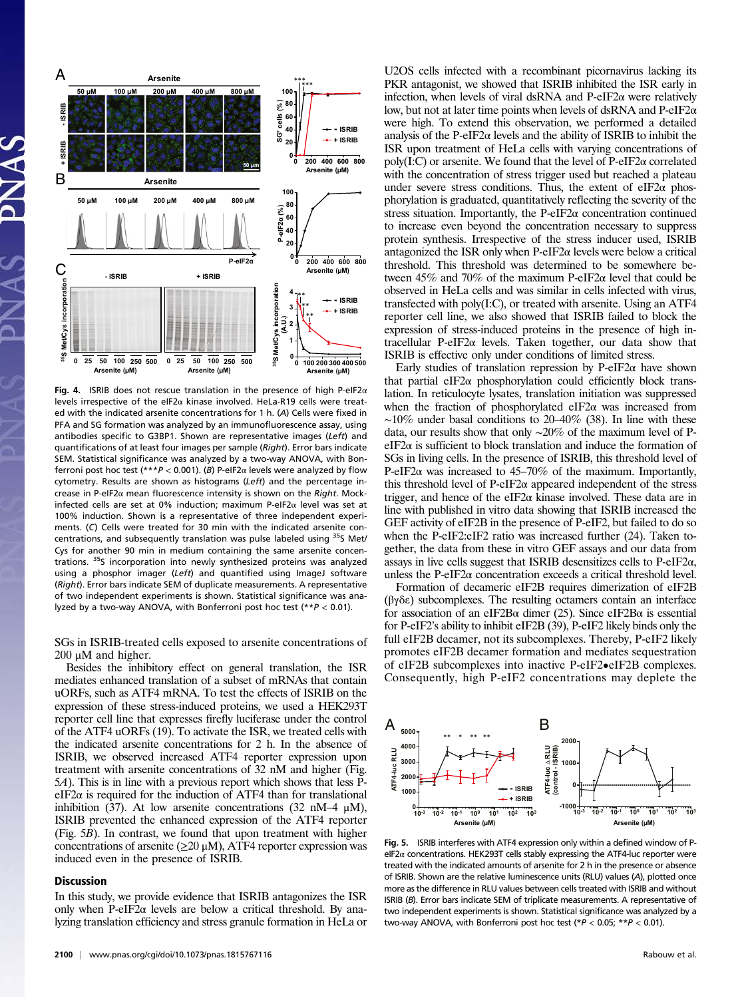

Fig. 4. ISRIB does not rescue translation in the presence of high P-eIF2 $\alpha$ levels irrespective of the eIF2α kinase involved. HeLa-R19 cells were treated with the indicated arsenite concentrations for 1 h. (A) Cells were fixed in PFA and SG formation was analyzed by an immunofluorescence assay, using antibodies specific to G3BP1. Shown are representative images (Left) and quantifications of at least four images per sample (Right). Error bars indicate SEM. Statistical significance was analyzed by a two-way ANOVA, with Bonferroni post hoc test (\*\*\*P < 0.001). (B) P-eIF2 $\alpha$  levels were analyzed by flow cytometry. Results are shown as histograms (Left) and the percentage increase in P-eIF2α mean fluorescence intensity is shown on the Right. Mockinfected cells are set at 0% induction; maximum P-eIF2α level was set at 100% induction. Shown is a representative of three independent experiments. (C) Cells were treated for 30 min with the indicated arsenite concentrations, and subsequently translation was pulse labeled using <sup>35</sup>S Met/ Cys for another 90 min in medium containing the same arsenite concentrations. <sup>35</sup>S incorporation into newly synthesized proteins was analyzed using a phosphor imager (Left) and quantified using ImageJ software (Right). Error bars indicate SEM of duplicate measurements. A representative of two independent experiments is shown. Statistical significance was analyzed by a two-way ANOVA, with Bonferroni post hoc test  $(**P < 0.01)$ .

SGs in ISRIB-treated cells exposed to arsenite concentrations of 200 μM and higher.

Besides the inhibitory effect on general translation, the ISR mediates enhanced translation of a subset of mRNAs that contain uORFs, such as ATF4 mRNA. To test the effects of ISRIB on the expression of these stress-induced proteins, we used a HEK293T reporter cell line that expresses firefly luciferase under the control of the ATF4 uORFs (19). To activate the ISR, we treated cells with the indicated arsenite concentrations for 2 h. In the absence of ISRIB, we observed increased ATF4 reporter expression upon treatment with arsenite concentrations of 32 nM and higher (Fig. 5A). This is in line with a previous report which shows that less PeIF2 $\alpha$  is required for the induction of ATF4 than for translational inhibition (37). At low arsenite concentrations (32 nM–4  $\mu$ M), ISRIB prevented the enhanced expression of the ATF4 reporter (Fig. 5B). In contrast, we found that upon treatment with higher concentrations of arsenite ( $\geq$ 20 µM), ATF4 reporter expression was induced even in the presence of ISRIB.

# Discussion

In this study, we provide evidence that ISRIB antagonizes the ISR only when P-eIF2 $\alpha$  levels are below a critical threshold. By analyzing translation efficiency and stress granule formation in HeLa or

U2OS cells infected with a recombinant picornavirus lacking its PKR antagonist, we showed that ISRIB inhibited the ISR early in infection, when levels of viral dsRNA and P-eIF2 $\alpha$  were relatively low, but not at later time points when levels of dsRNA and  $P$ -eIF2 $\alpha$ were high. To extend this observation, we performed a detailed analysis of the P-eIF2 $\alpha$  levels and the ability of ISRIB to inhibit the ISR upon treatment of HeLa cells with varying concentrations of poly(I:C) or arsenite. We found that the level of  $P$ -eIF2 $\alpha$  correlated with the concentration of stress trigger used but reached a plateau under severe stress conditions. Thus, the extent of eIF2 $\alpha$  phosphorylation is graduated, quantitatively reflecting the severity of the stress situation. Importantly, the P-eIF2 $\alpha$  concentration continued to increase even beyond the concentration necessary to suppress protein synthesis. Irrespective of the stress inducer used, ISRIB antagonized the ISR only when  $P$ -eIF2 $\alpha$  levels were below a critical threshold. This threshold was determined to be somewhere between 45% and 70% of the maximum P-eIF2α level that could be observed in HeLa cells and was similar in cells infected with virus, transfected with poly(I:C), or treated with arsenite. Using an ATF4 reporter cell line, we also showed that ISRIB failed to block the expression of stress-induced proteins in the presence of high intracellular P-eIF2α levels. Taken together, our data show that ISRIB is effective only under conditions of limited stress.

Early studies of translation repression by  $P$ -eIF2 $\alpha$  have shown that partial eIF2 $\alpha$  phosphorylation could efficiently block translation. In reticulocyte lysates, translation initiation was suppressed when the fraction of phosphorylated eIF2 $\alpha$  was increased from  $~\sim$ 10% under basal conditions to 20–40% (38). In line with these data, our results show that only ∼20% of the maximum level of P $eIF2\alpha$  is sufficient to block translation and induce the formation of SGs in living cells. In the presence of ISRIB, this threshold level of P-eIF2 $\alpha$  was increased to 45–70% of the maximum. Importantly, this threshold level of P-eIF2 $\alpha$  appeared independent of the stress trigger, and hence of the eIF2α kinase involved. These data are in line with published in vitro data showing that ISRIB increased the GEF activity of eIF2B in the presence of P-eIF2, but failed to do so when the P-eIF2:eIF2 ratio was increased further (24). Taken together, the data from these in vitro GEF assays and our data from assays in live cells suggest that ISRIB desensitizes cells to  $P$ -eIF2 $\alpha$ , unless the P-eIF2 $\alpha$  concentration exceeds a critical threshold level.

Formation of decameric eIF2B requires dimerization of eIF2B (βγδe) subcomplexes. The resulting octamers contain an interface for association of an eIF2B $\alpha$  dimer (25). Since eIF2B $\alpha$  is essential for P-eIF2's ability to inhibit eIF2B (39), P-eIF2 likely binds only the full eIF2B decamer, not its subcomplexes. Thereby, P-eIF2 likely promotes eIF2B decamer formation and mediates sequestration of eIF2B subcomplexes into inactive P-eIF2•eIF2B complexes. Consequently, high P-eIF2 concentrations may deplete the



Fig. 5. ISRIB interferes with ATF4 expression only within a defined window of PeIF2α concentrations. HEK293T cells stably expressing the ATF4-luc reporter were treated with the indicated amounts of arsenite for 2 h in the presence or absence of ISRIB. Shown are the relative luminescence units (RLU) values (A), plotted once more as the difference in RLU values between cells treated with ISRIB and without ISRIB (B). Error bars indicate SEM of triplicate measurements. A representative of two independent experiments is shown. Statistical significance was analyzed by a two-way ANOVA, with Bonferroni post hoc test (\*P < 0.05; \*\*P < 0.01).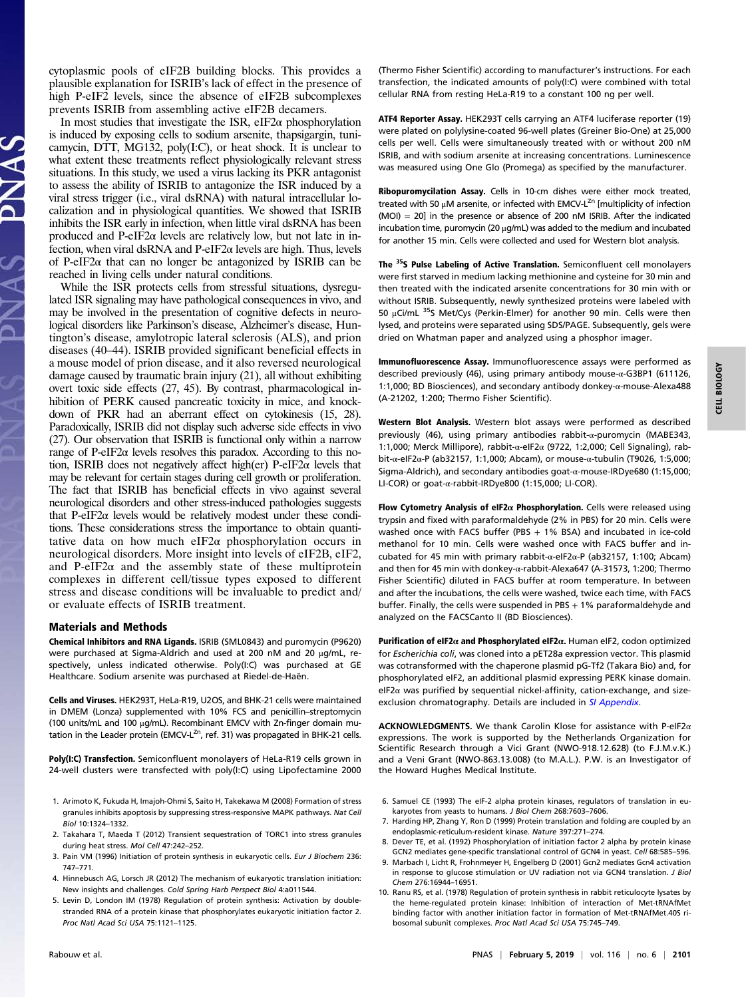cytoplasmic pools of eIF2B building blocks. This provides a plausible explanation for ISRIB's lack of effect in the presence of high P-eIF2 levels, since the absence of eIF2B subcomplexes prevents ISRIB from assembling active eIF2B decamers.

In most studies that investigate the ISR, eIF2 $\alpha$  phosphorylation is induced by exposing cells to sodium arsenite, thapsigargin, tunicamycin, DTT, MG132, poly(I:C), or heat shock. It is unclear to what extent these treatments reflect physiologically relevant stress situations. In this study, we used a virus lacking its PKR antagonist to assess the ability of ISRIB to antagonize the ISR induced by a viral stress trigger (i.e., viral dsRNA) with natural intracellular localization and in physiological quantities. We showed that ISRIB inhibits the ISR early in infection, when little viral dsRNA has been produced and P-eIF2 $\alpha$  levels are relatively low, but not late in infection, when viral dsRNA and  $P$ -eIF2 $\alpha$  levels are high. Thus, levels of P-eIF2 $\alpha$  that can no longer be antagonized by ISRIB can be reached in living cells under natural conditions.

While the ISR protects cells from stressful situations, dysregulated ISR signaling may have pathological consequences in vivo, and may be involved in the presentation of cognitive defects in neurological disorders like Parkinson's disease, Alzheimer's disease, Huntington's disease, amylotropic lateral sclerosis (ALS), and prion diseases (40–44). ISRIB provided significant beneficial effects in a mouse model of prion disease, and it also reversed neurological damage caused by traumatic brain injury (21), all without exhibiting overt toxic side effects (27, 45). By contrast, pharmacological inhibition of PERK caused pancreatic toxicity in mice, and knockdown of PKR had an aberrant effect on cytokinesis (15, 28). Paradoxically, ISRIB did not display such adverse side effects in vivo (27). Our observation that ISRIB is functional only within a narrow range of P-eIF2α levels resolves this paradox. According to this notion, ISRIB does not negatively affect high(er) P-eIF2 $\alpha$  levels that may be relevant for certain stages during cell growth or proliferation. The fact that ISRIB has beneficial effects in vivo against several neurological disorders and other stress-induced pathologies suggests that P-eIF2α levels would be relatively modest under these conditions. These considerations stress the importance to obtain quantitative data on how much eIF2 $\alpha$  phosphorylation occurs in neurological disorders. More insight into levels of eIF2B, eIF2, and P-eIF2 $\alpha$  and the assembly state of these multiprotein complexes in different cell/tissue types exposed to different stress and disease conditions will be invaluable to predict and/ or evaluate effects of ISRIB treatment.

### Materials and Methods

Chemical Inhibitors and RNA Ligands. ISRIB (SML0843) and puromycin (P9620) were purchased at Sigma-Aldrich and used at 200 nM and 20 μg/mL, respectively, unless indicated otherwise. Poly(I:C) was purchased at GE Healthcare. Sodium arsenite was purchased at Riedel-de-Haën.

Cells and Viruses. HEK293T, HeLa-R19, U2OS, and BHK-21 cells were maintained in DMEM (Lonza) supplemented with 10% FCS and penicillin–streptomycin (100 units/mL and 100 μg/mL). Recombinant EMCV with Zn-finger domain mutation in the Leader protein (EMCV-L<sup>Zn</sup>, ref. 31) was propagated in BHK-21 cells.

Poly(I:C) Transfection. Semiconfluent monolayers of HeLa-R19 cells grown in 24-well clusters were transfected with poly(I:C) using Lipofectamine 2000

- 1. Arimoto K, Fukuda H, Imajoh-Ohmi S, Saito H, Takekawa M (2008) Formation of stress granules inhibits apoptosis by suppressing stress-responsive MAPK pathways. Nat Cell Biol 10:1324–1332.
- 2. Takahara T, Maeda T (2012) Transient sequestration of TORC1 into stress granules during heat stress. Mol Cell 47:242–252.
- 3. Pain VM (1996) Initiation of protein synthesis in eukaryotic cells. Eur J Biochem 236: 747–771.
- 4. Hinnebusch AG, Lorsch JR (2012) The mechanism of eukaryotic translation initiation: New insights and challenges. Cold Spring Harb Perspect Biol 4:a011544.
- 5. Levin D, London IM (1978) Regulation of protein synthesis: Activation by doublestranded RNA of a protein kinase that phosphorylates eukaryotic initiation factor 2. Proc Natl Acad Sci USA 75:1121–1125.

(Thermo Fisher Scientific) according to manufacturer's instructions. For each transfection, the indicated amounts of poly(I:C) were combined with total cellular RNA from resting HeLa-R19 to a constant 100 ng per well.

ATF4 Reporter Assay. HEK293T cells carrying an ATF4 luciferase reporter (19) were plated on polylysine-coated 96-well plates (Greiner Bio-One) at 25,000 cells per well. Cells were simultaneously treated with or without 200 nM ISRIB, and with sodium arsenite at increasing concentrations. Luminescence was measured using One Glo (Promega) as specified by the manufacturer.

Ribopuromycilation Assay. Cells in 10-cm dishes were either mock treated, treated with 50  $\mu$ M arsenite, or infected with EMCV-L<sup>Zn</sup> [multiplicity of infection (MOI) = 20] in the presence or absence of 200 nM ISRIB. After the indicated incubation time, puromycin (20 μg/mL) was added to the medium and incubated for another 15 min. Cells were collected and used for Western blot analysis.

The <sup>35</sup>S Pulse Labeling of Active Translation. Semiconfluent cell monolayers were first starved in medium lacking methionine and cysteine for 30 min and then treated with the indicated arsenite concentrations for 30 min with or without ISRIB. Subsequently, newly synthesized proteins were labeled with 50 μCi/mL 35S Met/Cys (Perkin-Elmer) for another 90 min. Cells were then lysed, and proteins were separated using SDS/PAGE. Subsequently, gels were dried on Whatman paper and analyzed using a phosphor imager.

Immunofluorescence Assay. Immunofluorescence assays were performed as described previously (46), using primary antibody mouse-α-G3BP1 (611126, 1:1,000; BD Biosciences), and secondary antibody donkey-α-mouse-Alexa488 (A-21202, 1:200; Thermo Fisher Scientific).

Western Blot Analysis. Western blot assays were performed as described previously (46), using primary antibodies rabbit-α-puromycin (MABE343, 1:1,000; Merck Millipore), rabbit-α-eIF2α (9722, 1:2,000; Cell Signaling), rabbit-α-eIF2α-P (ab32157, 1:1,000; Abcam), or mouse-α-tubulin (T9026, 1:5,000; Sigma-Aldrich), and secondary antibodies goat-α-mouse-IRDye680 (1:15,000; LI-COR) or goat-α-rabbit-IRDye800 (1:15,000; LI-COR).

Flow Cytometry Analysis of eIF2 $\alpha$  Phosphorylation. Cells were released using trypsin and fixed with paraformaldehyde (2% in PBS) for 20 min. Cells were washed once with FACS buffer (PBS  $+ 1\%$  BSA) and incubated in ice-cold methanol for 10 min. Cells were washed once with FACS buffer and incubated for 45 min with primary rabbit-α-eIF2α-P (ab32157, 1:100; Abcam) and then for 45 min with donkey-α-rabbit-Alexa647 (A-31573, 1:200; Thermo Fisher Scientific) diluted in FACS buffer at room temperature. In between and after the incubations, the cells were washed, twice each time, with FACS buffer. Finally, the cells were suspended in PBS + 1% paraformaldehyde and analyzed on the FACSCanto II (BD Biosciences).

Purification of eIF2 $\alpha$  and Phosphorylated eIF2 $\alpha$ . Human eIF2, codon optimized for Escherichia coli, was cloned into a pET28a expression vector. This plasmid was cotransformed with the chaperone plasmid pG-Tf2 (Takara Bio) and, for phosphorylated eIF2, an additional plasmid expressing PERK kinase domain. eIF2α was purified by sequential nickel-affinity, cation-exchange, and size-exclusion chromatography. Details are included in [SI Appendix](https://www.pnas.org/lookup/suppl/doi:10.1073/pnas.1815767116/-/DCSupplemental).

**ACKNOWLEDGMENTS.** We thank Carolin Klose for assistance with P-eIF2 $\alpha$ expressions. The work is supported by the Netherlands Organization for Scientific Research through a Vici Grant (NWO-918.12.628) (to F.J.M.v.K.) and a Veni Grant (NWO-863.13.008) (to M.A.L.). P.W. is an Investigator of the Howard Hughes Medical Institute.

- 6. Samuel CE (1993) The eIF-2 alpha protein kinases, regulators of translation in eukaryotes from yeasts to humans. J Biol Chem 268:7603–7606.
- 7. Harding HP, Zhang Y, Ron D (1999) Protein translation and folding are coupled by an endoplasmic-reticulum-resident kinase. Nature 397:271–274.
- 8. Dever TE, et al. (1992) Phosphorylation of initiation factor 2 alpha by protein kinase GCN2 mediates gene-specific translational control of GCN4 in yeast. Cell 68:585–596.
- 9. Marbach I, Licht R, Frohnmeyer H, Engelberg D (2001) Gcn2 mediates Gcn4 activation in response to glucose stimulation or UV radiation not via GCN4 translation. J Biol Chem 276:16944–16951.
- 10. Ranu RS, et al. (1978) Regulation of protein synthesis in rabbit reticulocyte lysates by the heme-regulated protein kinase: Inhibition of interaction of Met-tRNAfMet binding factor with another initiation factor in formation of Met-tRNAfMet.40S ribosomal subunit complexes. Proc Natl Acad Sci USA 75:745–749.